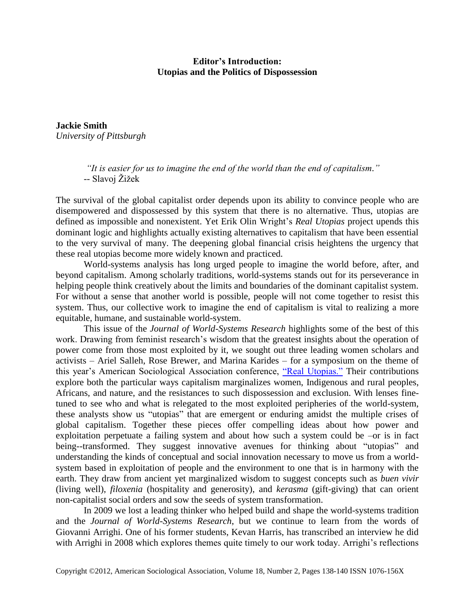## **Editor's Introduction: Utopias and the Politics of Dispossession**

**Jackie Smith** *University of Pittsburgh*

> *"It is easier for us to imagine the end of the world than the end of capitalism."* -- Slavoj Žižek

The survival of the global capitalist order depends upon its ability to convince people who are disempowered and dispossessed by this system that there is no alternative. Thus, utopias are defined as impossible and nonexistent. Yet Erik Olin Wright's *Real Utopias* project upends this dominant logic and highlights actually existing alternatives to capitalism that have been essential to the very survival of many. The deepening global financial crisis heightens the urgency that these real utopias become more widely known and practiced.

World-systems analysis has long urged people to imagine the world before, after, and beyond capitalism. Among scholarly traditions, world-systems stands out for its perseverance in helping people think creatively about the limits and boundaries of the dominant capitalist system. For without a sense that another world is possible, people will not come together to resist this system. Thus, our collective work to imagine the end of capitalism is vital to realizing a more equitable, humane, and sustainable world-system.

This issue of the *Journal of World-Systems Research* highlights some of the best of this work. Drawing from feminist research's wisdom that the greatest insights about the operation of power come from those most exploited by it, we sought out three leading women scholars and activists – Ariel Salleh, Rose Brewer, and Marina Karides – for a symposium on the theme of this year's American Sociological Association conference, ["Real Utopias."](http://asanet.org/AM2012/index.cfm) Their contributions explore both the particular ways capitalism marginalizes women, Indigenous and rural peoples, Africans, and nature, and the resistances to such dispossession and exclusion. With lenses finetuned to see who and what is relegated to the most exploited peripheries of the world-system, these analysts show us "utopias" that are emergent or enduring amidst the multiple crises of global capitalism. Together these pieces offer compelling ideas about how power and exploitation perpetuate a failing system and about how such a system could be –or is in fact being--transformed. They suggest innovative avenues for thinking about "utopias" and understanding the kinds of conceptual and social innovation necessary to move us from a worldsystem based in exploitation of people and the environment to one that is in harmony with the earth. They draw from ancient yet marginalized wisdom to suggest concepts such as *buen vivir* (living well), *filoxenia* (hospitality and generosity), and *kerasma* (gift-giving) that can orient non-capitalist social orders and sow the seeds of system transformation.

In 2009 we lost a leading thinker who helped build and shape the world-systems tradition and the *Journal of World-Systems Research*, but we continue to learn from the words of Giovanni Arrighi. One of his former students, Kevan Harris, has transcribed an interview he did with Arrighi in 2008 which explores themes quite timely to our work today. Arrighi's reflections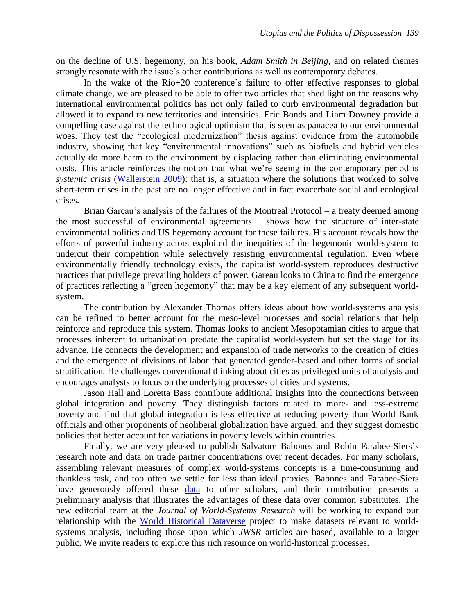on the decline of U.S. hegemony, on his book, *Adam Smith in Beijing*, and on related themes strongly resonate with the issue's other contributions as well as contemporary debates.

In the wake of the Rio+20 conference's failure to offer effective responses to global climate change, we are pleased to be able to offer two articles that shed light on the reasons why international environmental politics has not only failed to curb environmental degradation but allowed it to expand to new territories and intensities. Eric Bonds and Liam Downey provide a compelling case against the technological optimism that is seen as panacea to our environmental woes. They test the "ecological modernization" thesis against evidence from the automobile industry, showing that key "environmental innovations" such as biofuels and hybrid vehicles actually do more harm to the environment by displacing rather than eliminating environmental costs. This article reinforces the notion that what we're seeing in the contemporary period is *systemic crisis* [\(Wallerstein 2009\)](http://mrzine.monthlyreview.org/2009/wallerstein121109.html): that is, a situation where the solutions that worked to solve short-term crises in the past are no longer effective and in fact exacerbate social and ecological crises.

Brian Gareau's analysis of the failures of the Montreal Protocol – a treaty deemed among the most successful of environmental agreements – shows how the structure of inter-state environmental politics and US hegemony account for these failures. His account reveals how the efforts of powerful industry actors exploited the inequities of the hegemonic world-system to undercut their competition while selectively resisting environmental regulation. Even where environmentally friendly technology exists, the capitalist world-system reproduces destructive practices that privilege prevailing holders of power. Gareau looks to China to find the emergence of practices reflecting a "green hegemony" that may be a key element of any subsequent worldsystem.

The contribution by Alexander Thomas offers ideas about how world-systems analysis can be refined to better account for the meso-level processes and social relations that help reinforce and reproduce this system. Thomas looks to ancient Mesopotamian cities to argue that processes inherent to urbanization predate the capitalist world-system but set the stage for its advance. He connects the development and expansion of trade networks to the creation of cities and the emergence of divisions of labor that generated gender-based and other forms of social stratification. He challenges conventional thinking about cities as privileged units of analysis and encourages analysts to focus on the underlying processes of cities and systems.

Jason Hall and Loretta Bass contribute additional insights into the connections between global integration and poverty. They distinguish factors related to more- and less-extreme poverty and find that global integration is less effective at reducing poverty than World Bank officials and other proponents of neoliberal globalization have argued, and they suggest domestic policies that better account for variations in poverty levels within countries.

Finally, we are very pleased to publish Salvatore Babones and Robin Farabee-Siers's research note and data on trade partner concentrations over recent decades. For many scholars, assembling relevant measures of complex world-systems concepts is a time-consuming and thankless task, and too often we settle for less than ideal proxies. Babones and Farabee-Siers have generously offered these [data](http://dvn.iq.harvard.edu/dvn/dv/worldhistorical/faces/study/StudyPage.xhtml?globalId=hdl:1902.1/18566&studyListingIndex=4_291bb75a5bc5c7e325adab92d00d) to other scholars, and their contribution presents a preliminary analysis that illustrates the advantages of these data over common substitutes. The new editorial team at the *Journal of World-Systems Research* will be working to expand our relationship with the [World Historical Dataverse](http://dvn.iq.harvard.edu/dvn/dv/worldhistorical/faces/StudyListingPage.xhtml?mode=1&collectionId=3515) project to make datasets relevant to worldsystems analysis, including those upon which *JWSR* articles are based, available to a larger public. We invite readers to explore this rich resource on world-historical processes.